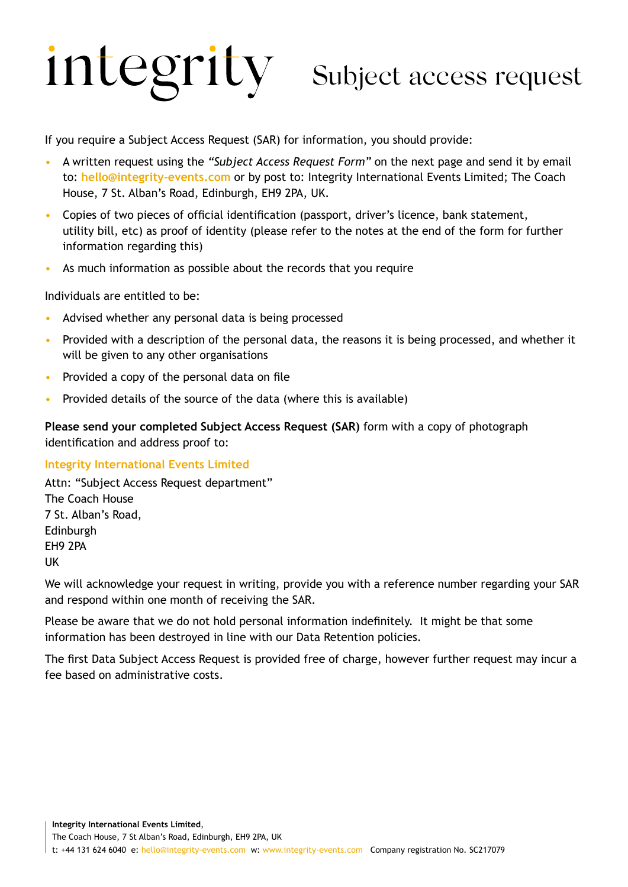# integrity Subject access request

If you require a Subject Access Request (SAR) for information, you should provide:

- A written request using the *"Subject Access Request Form"* on the next page and send it by email to: **hello@integrity-events.com** or by post to: Integrity International Events Limited; The Coach House, 7 St. Alban's Road, Edinburgh, EH9 2PA, UK.
- Copies of two pieces of official identification (passport, driver's licence, bank statement, utility bill, etc) as proof of identity (please refer to the notes at the end of the form for further information regarding this)
- As much information as possible about the records that you require

Individuals are entitled to be:

- Advised whether any personal data is being processed
- Provided with a description of the personal data, the reasons it is being processed, and whether it will be given to any other organisations
- Provided a copy of the personal data on file
- Provided details of the source of the data (where this is available)

**Please send your completed Subject Access Request (SAR)** form with a copy of photograph identification and address proof to:

### **Integrity International Events Limited**

Attn: "Subject Access Request department" The Coach House 7 St. Alban's Road, Edinburgh EH9 2PA UK

We will acknowledge your request in writing, provide you with a reference number regarding your SAR and respond within one month of receiving the SAR.

Please be aware that we do not hold personal information indefinitely. It might be that some information has been destroyed in line with our Data Retention policies.

The first Data Subject Access Request is provided free of charge, however further request may incur a fee based on administrative costs.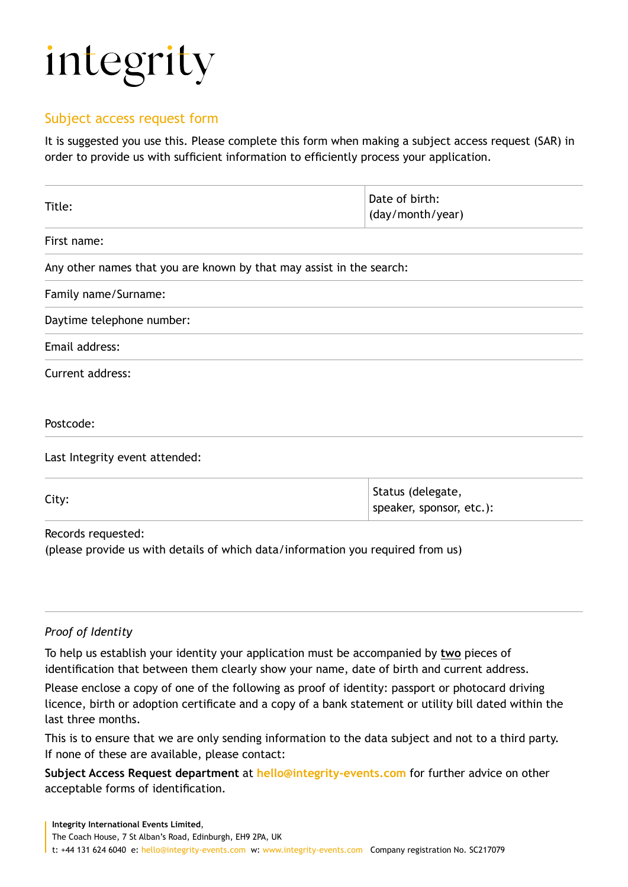## integrity

### Subject access request form

It is suggested you use this. Please complete this form when making a subject access request (SAR) in order to provide us with sufficient information to efficiently process your application.

| Title:                                                               | Date of birth:<br>(day/month/year)            |  |
|----------------------------------------------------------------------|-----------------------------------------------|--|
| First name:                                                          |                                               |  |
| Any other names that you are known by that may assist in the search: |                                               |  |
| Family name/Surname:                                                 |                                               |  |
| Daytime telephone number:                                            |                                               |  |
| Email address:                                                       |                                               |  |
| Current address:                                                     |                                               |  |
| Postcode:                                                            |                                               |  |
| Last Integrity event attended:                                       |                                               |  |
| City:                                                                | Status (delegate,<br>speaker, sponsor, etc.): |  |

Records requested:

(please provide us with details of which data/information you required from us)

### *Proof of Identity*

To help us establish your identity your application must be accompanied by **two** pieces of identification that between them clearly show your name, date of birth and current address.

Please enclose a copy of one of the following as proof of identity: passport or photocard driving licence, birth or adoption certificate and a copy of a bank statement or utility bill dated within the last three months.

This is to ensure that we are only sending information to the data subject and not to a third party. If none of these are available, please contact:

**Subject Access Request department** at **hello@integrity-events.com** for further advice on other acceptable forms of identification.